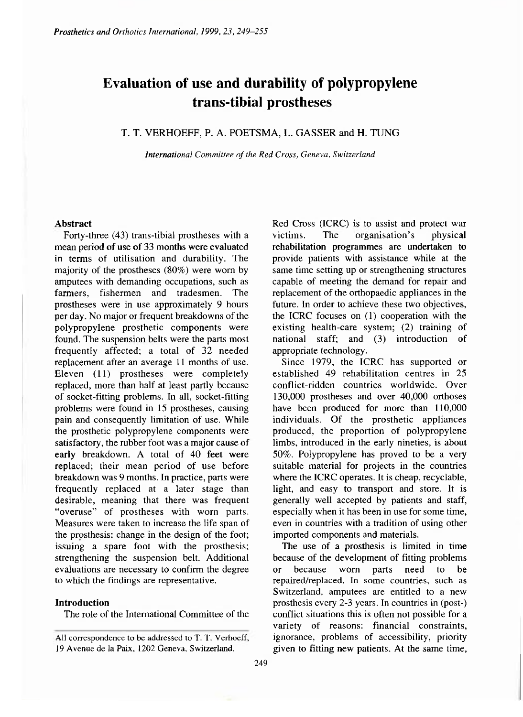# **Evaluation of use and durability of polypropylene trans-tibial prostheses**

# T. T. VERHOEFF, P. A. POETSMA, L. GASSER and H. TUNG

*International Committee of the Red Cross, Geneva, Switzerland* 

## **Abstract**

Forty-three (43) trans-tibial prostheses with a mean period **of** use **of** 33 months were evaluated in terms of utilisation and durability. The majority of the prostheses (80%) were worn by amputees with demanding occupations, such as farmers, fishermen and tradesmen. The prostheses were in use approximately 9 hours per day. No major or frequent breakdowns of the polypropylene prosthetic components were found. The suspension belts were the parts most frequently affected; a total of 32 needed replacement after an average 11 months of use. Eleven (11) prostheses were completely replaced, more than half at least partly because of socket-fitting problems. In all, socket-fitting problems were found in 15 prostheses, causing pain and consequently limitation of use. While the prosthetic polypropylene components were satisfactory, the rubber foot was a major cause of early breakdown. A total of 40 feet were replaced; their mean period of use before breakdown was 9 months. In practice, parts were frequently replaced at a later stage than desirable, meaning that there was frequent "overuse" of prostheses with worn parts. Measures were taken to increase the life span of the prosthesis: change in the design of the foot; issuing a spare foot with the prosthesis; strengthening the suspension belt. Additional evaluations are necessary to confirm the degree to which the findings are representative.

# **Introduction**

The role of the International Committee of the

Red Cross (ICRC) is to assist and protect war victims. The organisation's physical rehabilitation programmes are undertaken to provide patients with assistance while at the same time setting up or strengthening structures capable of meeting the demand for repair and replacement of the orthopaedic appliances in the future. In order to achieve these two objectives, the ICRC focuses on (l) cooperation with the existing health-care system; (2) training of national staff; and (3) introduction of appropriate technology.

Since 1979, the ICRC has supported or established 49 rehabilitation centres in 25 conflict-ridden countries worldwide. Over 130,000 prostheses and over 40,000 orthoses have been produced for more than 110,000 individuals. Of the prosthetic appliances produced, the proportion of polypropylene limbs, introduced in the early nineties, is about 50%. Polypropylene has proved to be a very suitable material for projects in the countries where the ICRC operates. It is cheap, recyclable, light, and easy to transport and store. It is generally well accepted by patients and staff, especially when it has been in use for some time, even in countries with a tradition of using other imported components and materials.

The use of a prosthesis is limited in time because of the development of fitting problems or because worn parts need to be repaired/replaced. In some countries, such as Switzerland, amputees are entitled to a new prosthesis every 2-3 years. In countries in (post-) conflict situations this is often not possible for a variety of reasons: financial constraints, ignorance, problems of accessibility, priority given to fitting new patients. At the same time,

All correspondence to be addressed to T. T. Verhoeff, 19 Avenue de la Paix, 1202 Geneva, Switzerland.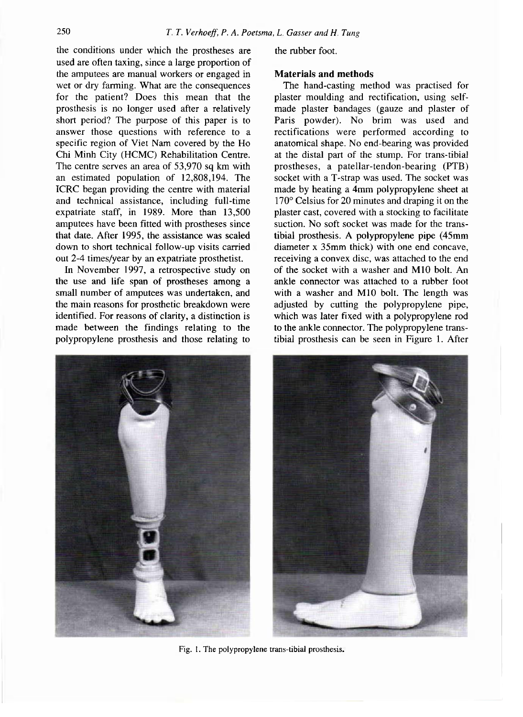the conditions under which the prostheses are used are often taxing, since a large proportion of the amputees are manual workers or engaged in wet or dry farming. What are the consequences for the patient? Does this mean that the prosthesis is no longer used after a relatively short period? The purpose of this paper is to answer those questions with reference to a specific region of Viet Nam covered by the Ho Chi Minh City (HCMC) Rehabilitation Centre. The centre serves an area of 53,970 sq km with an estimated population of 12,808,194. The ICRC began providing the centre with material and technical assistance, including full-time expatriate staff, in 1989. More than 13,500 amputees have been fitted with prostheses since that date. After 1995, the assistance was scaled down to short technical follow-up visits carried out 2-4 times/year by an expatriate prosthetist.

In November 1997, a retrospective study on the use and life span of prostheses among a small number of amputees was undertaken, and the main reasons for prosthetic breakdown were identified. For reasons of clarity, a distinction is made between the findings relating to the polypropylene prosthesis and those relating to



the rubber foot.

### **Materials and methods**

The hand-casting method was practised for plaster moulding and rectification, using selfmade plaster bandages (gauze and plaster of Paris powder). No brim was used and rectifications were performed according to anatomical shape. No end-bearing was provided at the distal part of the stump. For trans-tibial prostheses, a patellar-tendon-bearing (PTB) socket with a T-strap was used. The socket was made by heating a 4mm polypropylene sheet at 170° Celsius for 20 minutes and draping it on the plaster cast, covered with a stocking to facilitate suction. No soft socket was made for the transtibial prosthesis. A polypropylene pipe (45mm diameter x 35mm thick) with one end concave, receiving a convex disc, was attached to the end of the socket with a washer and M10 bolt. An ankle connector was attached to a rubber foot with a washer and M10 bolt. The length was adjusted by cutting the polypropylene pipe, which was later fixed with a polypropylene rod to the ankle connector. The polypropylene transtibial prosthesis can be seen in Figure 1. After



Fig. 1. The polypropylene trans-tibial prosthesis.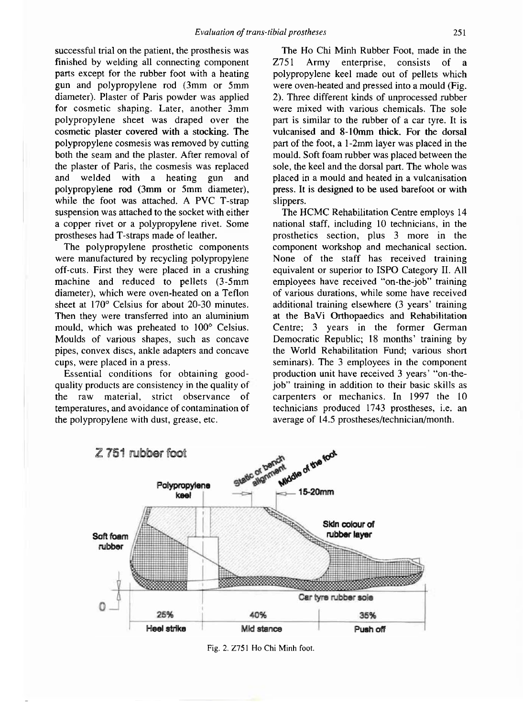successful trial on the patient, the prosthesis was finished by welding all connecting component parts except for the rubber foot with a heating gun and polypropylene rod (3mm or 5mm diameter). Plaster of Paris powder was applied for cosmetic shaping. Later, another 3mm polypropylene sheet was draped over the cosmetic plaster covered with a stocking. The polypropylene cosmesis was removed by cutting both the seam and the plaster. After removal of the plaster of Paris, the cosmesis was replaced and welded with a heating gun and polypropylene rod (3mm or 5mm diameter), while the foot was attached. A PVC T-strap suspension was attached to the socket with either a copper rivet or a polypropylene rivet. Some prostheses had T-straps made of leather.

The polypropylene prosthetic components were manufactured by recycling polypropylene off-cuts. First they were placed in a crushing machine and reduced to pellets (3-5mm diameter), which were oven-heated on a Teflon sheet at 170° Celsius for about 20-30 minutes. Then they were transferred into an aluminium mould, which was preheated to 100° Celsius. Moulds of various shapes, such as concave pipes, convex discs, ankle adapters and concave cups, were placed in a press.

Essential conditions for obtaining goodquality products are consistency in the quality of the raw material, strict observance of temperatures, and avoidance of contamination of the polypropylene with dust, grease, etc.

The Ho Chi Minh Rubber Foot, made in the Z751 Army enterprise, consists of a polypropylene keel made out of pellets which were oven-heated and pressed into a mould (Fig. 2). Three different kinds of unprocessed rubber were mixed with various chemicals. The sole part is similar to the rubber of a car tyre. It is vulcanised and 8-10mm thick. For the dorsal part of the foot, a 1-2mm layer was placed in the mould. Soft foam rubber was placed between the sole, the keel and the dorsal part. The whole was placed in a mould and heated in a vulcanisation press. It is designed to be used barefoot or with slippers.

The HCMC Rehabilitation Centre employs 14 national staff, including 10 technicians, in the prosthetics section, plus 3 more in the component workshop and mechanical section. None of the staff has received training equivalent or superior to ISPO Category II. All employees have received "on-the-job" training of various durations, while some have received additional training elsewhere (3 years' training at the BaVi Orthopaedics and Rehabilitation Centre; 3 years in the former German Democratic Republic; 18 months' training by the World Rehabilitation Fund; various short seminars). The 3 employees in the component production unit have received 3 years' "on-thejob" training in addition to their basic skills as carpenters or mechanics. In 1997 the 10 technicians produced 1743 prostheses, i.e. an average of 14.5 prostheses/technician/month.



Fig. 2. Z751 Ho Chi Minh foot.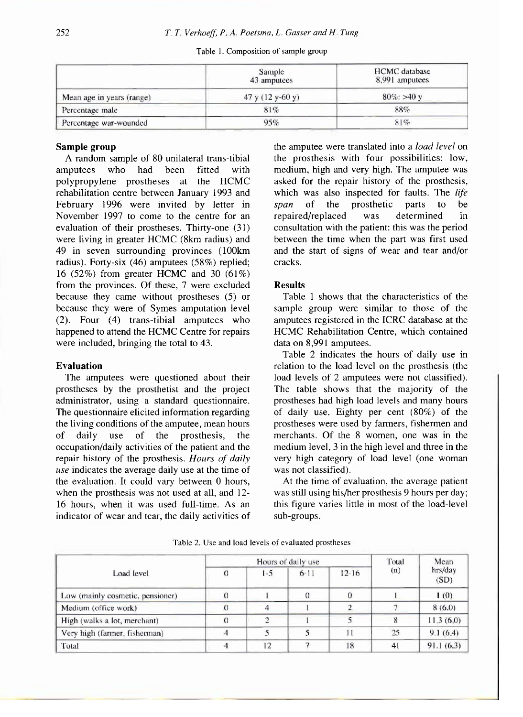|                           | Sample<br>43 amputees | <b>HCMC</b> database<br>8,991 amputees<br>$80\%$ : >40 y<br>88% |  |  |
|---------------------------|-----------------------|-----------------------------------------------------------------|--|--|
| Mean age in years (range) | 47 y $(12 y-60 y)$    |                                                                 |  |  |
| Percentage male           | 81%                   |                                                                 |  |  |
| Percentage war-wounded    | 95%                   | 81%                                                             |  |  |

# Table 1. Composition of sample group

# **Sample group**

A random sample of 80 unilateral trans-tibial amputees who had been fitted with polypropylene prostheses at the HCMC rehabilitation centre between January 1993 and February 1996 were invited by letter in November 1997 to come to the centre for an evaluation of their prostheses. Thirty-one (31) were living in greater HCMC (8km radius) and 49 in seven surrounding provinces (100km radius). Forty-six (46) amputees (58%) replied; 16 (52%) from greater HCMC and 30 (61%) from the provinces. Of these, 7 were excluded because they came without prostheses (5) or because they were of Symes amputation level (2). Four (4) trans-tibial amputees who happened to attend the HCMC Centre for repairs were included, bringing the total to 43.

# **Evaluation**

The amputees were questioned about their prostheses by the prosthetist and the project administrator, using a standard questionnaire. The questionnaire elicited information regarding the living conditions of the amputee, mean hours of daily use of the prosthesis, the occupation/daily activities of the patient and the repair history of the prosthesis. *Hours of daily use* indicates the average daily use at the time of the evaluation. It could vary between 0 hours, when the prosthesis was not used at all, and 12- 16 hours, when it was used full-time. As an indicator of wear and tear, the daily activities of the amputee were translated into a *load level* on lhe prosthesis with four possibilities: low, medium, high and very high. The amputee was asked for the repair history of the prosthesis, which was also inspected for faults. The *life span* of the prosthetic parts to be repaired/replaced was determined in consultation with the patient: this was the period between the time when the part was first used and the start of signs of wear and tear and/or cracks.

# **Results**

Table 1 shows that the characteristics of the sample group were similar to those of the amputees registered in the ICRC database at the HCMC Rehabilitation Centre, which contained data on 8,991 amputees.

Table 2 indicates the hours of daily use in relation to the load level on the prosthesis (the load levels of 2 amputees were not classified). The table shows that the majority of the prostheses had high load levels and many hours of daily use. Eighty per cent (80%) of the prostheses were used by farmers, fishermen and merchants. Of the 8 women, one was in the medium level, 3 in the high level and three in the very high category of load level (one woman was not classified).

At the time of evaluation, the average patient was still using his/her prosthesis 9 hours per day; this figure varies little in most of the load-level sub-groups.

| Load level                       |          | Hours of daily use | Total    | Mean      |     |                 |
|----------------------------------|----------|--------------------|----------|-----------|-----|-----------------|
|                                  | $\theta$ | $1 - 5$            | $6 - 11$ | $12 - 16$ | (n) | hrs/day<br>(SD) |
| Low (mainly cosmetic, pensioner) |          |                    | $\theta$ |           |     | 1(0)            |
| Medium (office work)             | $\Omega$ |                    |          |           |     | 8(6.0)          |
| High (walks a lot, merchant)     | $\cup$   |                    |          |           |     | 11.3(6.0)       |
| Very high (farmer, fisherman)    | 4        |                    |          | 11        | 25  | 9.1(6.4)        |
| Total                            |          | 12                 |          | 18        | 41  | 91.1(6.3)       |

Table 2. Use and load levels of eval*u*ated prostheses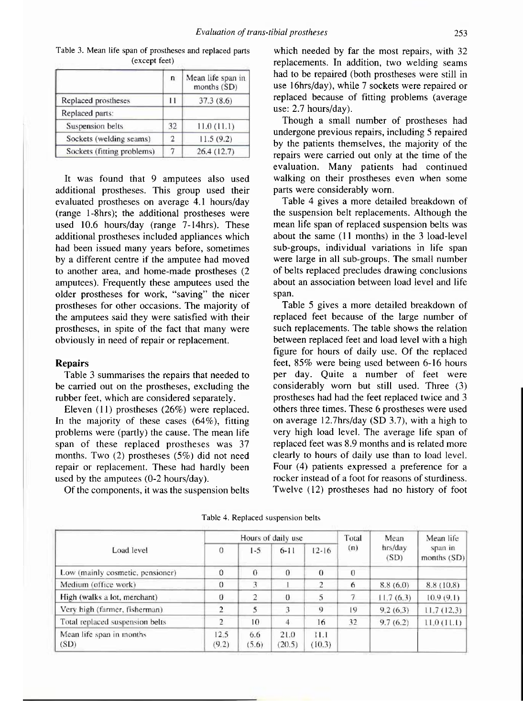|                            | n             | Mean life span in<br>months (SD) |  |  |
|----------------------------|---------------|----------------------------------|--|--|
| Replaced prostheses        | $^{11}$       | 37.3(8.6)                        |  |  |
| Replaced parts:            |               |                                  |  |  |
| Suspension belts           | 32            | 11.0(11.1)                       |  |  |
| Sockets (welding seams)    | $\mathcal{D}$ | 11.5(9.2)                        |  |  |
| Sockets (fitting problems) |               | 26.4(12.7)                       |  |  |

Table 3. Mean life span of prostheses and replaced parts (except feet)

It was found that 9 amputees also used additional prostheses. This group used their evaluated prostheses on average 4.1 hours/day (range l-8hrs); the additional prostheses were used 10.6 hours/day (range 7-14hrs). These additional prostheses included appliances which had been issued many years before, sometimes by a different centre if the amputee had moved to another area, and home-made prostheses (2 amputees). Frequently these amputees used the older prostheses for work, "saving" the nicer prostheses for other occasions. The majority of the amputees said they were satisfied with their prostheses, in spite of the fact that many were obviously in need of repair or replacement.

# **Repairs**

Table 3 summarises the repairs that needed to be carried out on the prostheses, excluding the rubber feet, which are considered separately.

Eleven (11) prostheses (26%) were replaced. In the majority of these cases (64%), fitting problems were (partly) the cause. The mean life span of these replaced prostheses was 37 months. Two (2) prostheses (5%) did not need repair or replacement. These had hardly been used by the amputees (0-2 hours/day).

Of the components, it was the suspension belts

which needed by far the most repairs, with 32 replacements. In addition, two welding seams had to be repaired (both prostheses were still in use 16hrs/day), while 7 sockets were repaired or replaced because of fitting problems (average use: 2.7 hours/day).

Though a small number of prostheses had undergone previous repairs, including 5 repaired by the patients themselves, the majority of the repairs were carried out only at the time of the evaluation. Many patients had continued walking on their prostheses even when some parts were considerably worn.

Table 4 gives a more detailed breakdown of the suspension belt replacements. Although the mean life span of replaced suspension belts was about the same (11 months) in the 3 load-level sub-groups, individual variations in life span were large in all sub-groups. The small number of belts replaced precludes drawing conclusions about an association between load level and life span.

Table 5 gives a more detailed breakdown of replaced feet because of the large number of such replacements. The table shows the relation between replaced feet and load level with a high figure for hours of daily use. Of the replaced feet, 85% were being used between 6-16 hours per day. Quite a number of feet were considerably worn but still used. Three (3) prostheses had had the feet replaced twice and 3 others three times. These 6 prostheses were used on average 12.7hrs/day (SD 3.7), with a high to very high load level. The average life span of replaced feet was 8.9 months and is related more clearly to hours of daily use than to load level. Four (4) patients expressed a preference for a rocker instead of a foot for reasons of sturdiness. Twelve (12) prostheses had no history of foot

| Load level                       | Hours of daily use |              |                |                | Total    | Mean            | Mean life              |
|----------------------------------|--------------------|--------------|----------------|----------------|----------|-----------------|------------------------|
|                                  | $\sigma$           | $1-5$        | $6 - 11$       | $12 - 16$      | (n)      | hrs/day<br>(SD) | span in<br>months (SD) |
| Low (mainly cosmetic, pensioner) | $\theta$           | $\theta$     | $\theta$       | $\theta$       | $\theta$ |                 |                        |
| Medium (office work)             | $\theta$           | 3            |                |                | 6        | 8.8(6.0)        | 8.8 (10.8)             |
| High (walks a lot, merchant)     | $\bf{0}$           | 2            | $\theta$       | 5              | 7        | 11.7(6.3)       | 10.9(9.1)              |
| Very high (farmer, fisherman)    | $\overline{2}$     |              |                | 9              | 19       | 9.2(6.3)        | 11.7(12.3)             |
| Total replaced suspension belts  | 2                  | 10           | 4              | 16             | 32       | 9.7(6.2)        | 11.0(11.1)             |
| Mean life span in months<br>(SD) | 12.5<br>(9,2)      | 6.6<br>(5.6) | 21.0<br>(20.5) | 11.1<br>(10.3) |          |                 |                        |

Table 4. Replaced suspension belts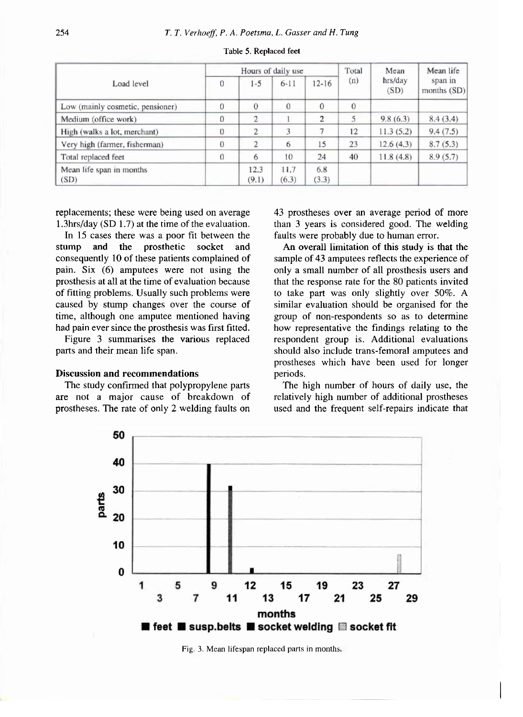| Load level                       | Hours of daily use |                |               |              | Total    | Mean            | Mean life              |
|----------------------------------|--------------------|----------------|---------------|--------------|----------|-----------------|------------------------|
|                                  | $\Omega$           | $1 - 5$        | $6 - 11$      | $12 - 16$    | (n)      | hrs/day<br>(SD) | span in<br>months (SD) |
| Low (mainly cosmetic, pensioner) | $\overline{0}$     | $\theta$       | $\theta$      | $\theta$     | $\Omega$ |                 |                        |
| Medium (office work)             | $\theta$           | $\overline{2}$ |               | 2            | 5        | 9.8(6.3)        | 8.4(3.4)               |
| High (walks a lot, merchant)     | $\theta$           | $\overline{c}$ | 3             |              | 12       | 11.3(5.2)       | 9.4(7.5)               |
| Very high (farmer, fisherman)    | $\Omega$           | 2              | 6             | 15           | 23       | 12.6(4.3)       | 8.7(5.3)               |
| Total replaced feet              | $\Omega$           | 6              | 10            | 24           | 40       | 11.8(4.8)       | 8.9(5.7)               |
| Mean life span in months<br>(SD) |                    | 12.3<br>(9.1)  | 11.7<br>(6.3) | 6.8<br>(3.3) |          |                 |                        |

#### Table 5. Replaced feet

replacements; these were being used on average 1.3hrs/day (SD 1.7) at the time of the evaluation.

In 15 cases there was a poor fit between the stump and the prosthetic socket and consequently 10 of these patients complained of pain. Six (6) amputees were not using the prosthesis at all at the time of evaluation because of fitting problems. Usually such problems were caused by stump changes over the course of time, although one amputee mentioned having had pain ever since the prosthesis was first fitted.

Figure 3 summarises the various replaced parts and their mean life span.

# **Discussion and recommendations**

The study confirmed that polypropylene parts are not a major cause of breakdown of prostheses. The rate of only 2 welding faults on 43 prostheses over an average period of more than 3 years is considered good. The welding faults were probably due to human error.

An overall limitation of this study is that the sample of 43 amputees reflects the experience of only a small number of all prosthesis users and that the response rate for the 80 patients invited to take part was only slightly over 50%. A similar evaluation should be organised for the group of non-respondents so as to determine how representative the findings relating to the respondent group is. Additional evaluations should also include trans-femoral amputees and prostheses which have been used for longer periods.

The high number of hours of daily use, the relatively high number of additional prostheses used and the frequent self-repairs indicate that



Fig. 3. Mean lifespan replaced parts in months